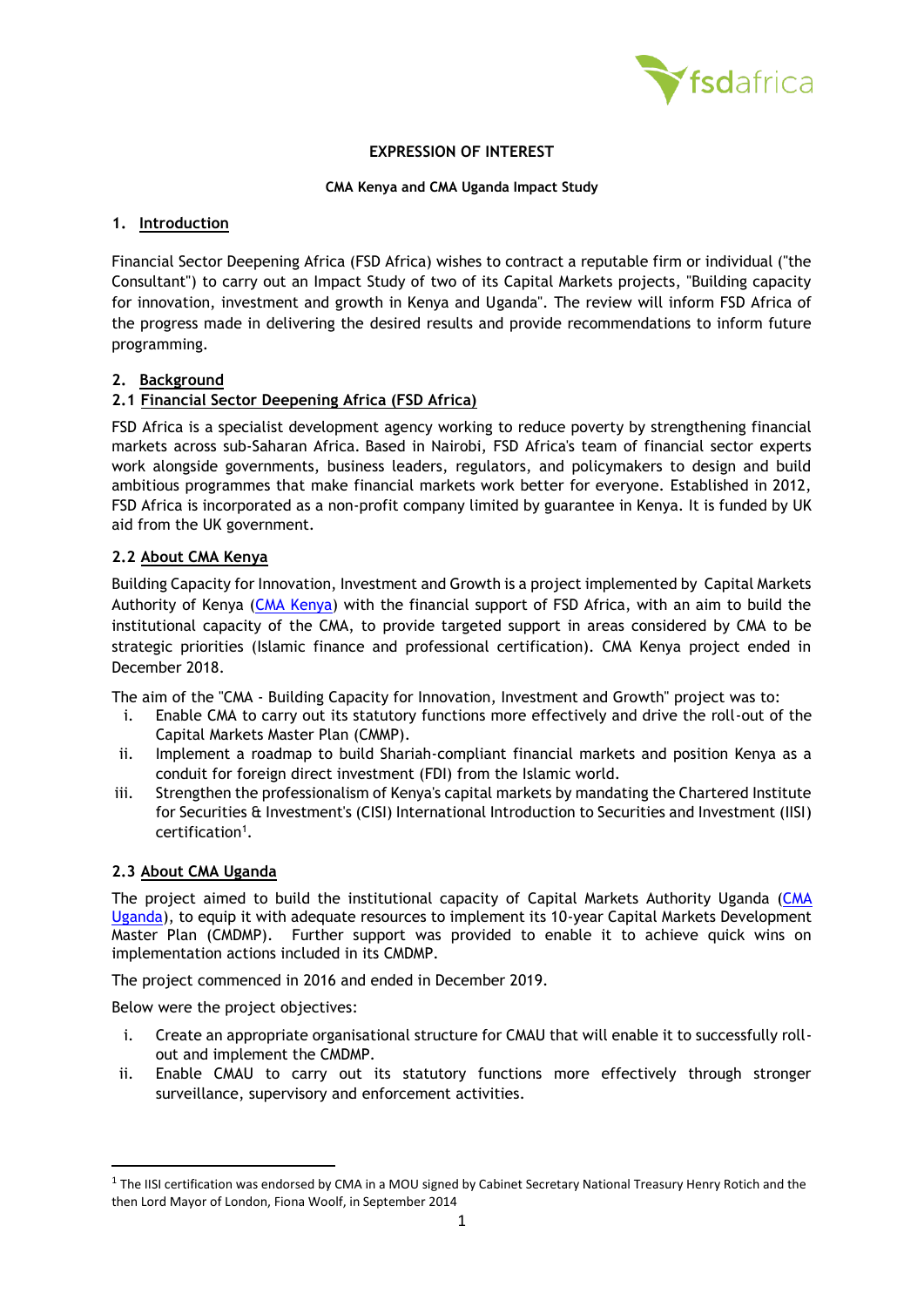

## **EXPRESSION OF INTEREST**

#### **CMA Kenya and CMA Uganda Impact Study**

#### **1. Introduction**

Financial Sector Deepening Africa (FSD Africa) wishes to contract a reputable firm or individual ("the Consultant") to carry out an Impact Study of two of its Capital Markets projects, "Building capacity for innovation, investment and growth in Kenya and Uganda". The review will inform FSD Africa of the progress made in delivering the desired results and provide recommendations to inform future programming.

## **2. Background**

## **2.1 Financial Sector Deepening Africa (FSD Africa)**

FSD Africa is a specialist development agency working to reduce poverty by strengthening financial markets across sub-Saharan Africa. Based in Nairobi, FSD Africa's team of financial sector experts work alongside governments, business leaders, regulators, and policymakers to design and build ambitious programmes that make financial markets work better for everyone. Established in 2012, FSD Africa is incorporated as a non-profit company limited by guarantee in Kenya. It is funded by UK aid from the UK government.

#### **2.2 About CMA Kenya**

Building Capacity for Innovation, Investment and Growth is a project implemented by Capital Markets Authority of Kenya [\(CMA Kenya\)](https://www.cma.or.ke/) with the financial support of FSD Africa, with an aim to build the institutional capacity of the CMA, to provide targeted support in areas considered by CMA to be strategic priorities (Islamic finance and professional certification). CMA Kenya project ended in December 2018.

The aim of the "CMA - Building Capacity for Innovation, Investment and Growth" project was to:

- i. Enable CMA to carry out its statutory functions more effectively and drive the roll-out of the Capital Markets Master Plan (CMMP).
- ii. Implement a roadmap to build Shariah-compliant financial markets and position Kenya as a conduit for foreign direct investment (FDI) from the Islamic world.
- iii. Strengthen the professionalism of Kenya's capital markets by mandating the Chartered Institute for Securities & Investment's (CISI) International Introduction to Securities and Investment (IISI) certification<sup>1</sup>.

#### **2.3 About CMA Uganda**

The project aimed to build the institutional capacity of Capital Markets Authority Uganda [\(CMA](https://cmauganda.co.ug/)  [Uganda\)](https://cmauganda.co.ug/), to equip it with adequate resources to implement its 10-year Capital Markets Development Master Plan (CMDMP). Further support was provided to enable it to achieve quick wins on implementation actions included in its CMDMP.

The project commenced in 2016 and ended in December 2019.

Below were the project objectives:

- i. Create an appropriate organisational structure for CMAU that will enable it to successfully rollout and implement the CMDMP.
- ii. Enable CMAU to carry out its statutory functions more effectively through stronger surveillance, supervisory and enforcement activities.

 $1$  The IISI certification was endorsed by CMA in a MOU signed by Cabinet Secretary National Treasury Henry Rotich and the then Lord Mayor of London, Fiona Woolf, in September 2014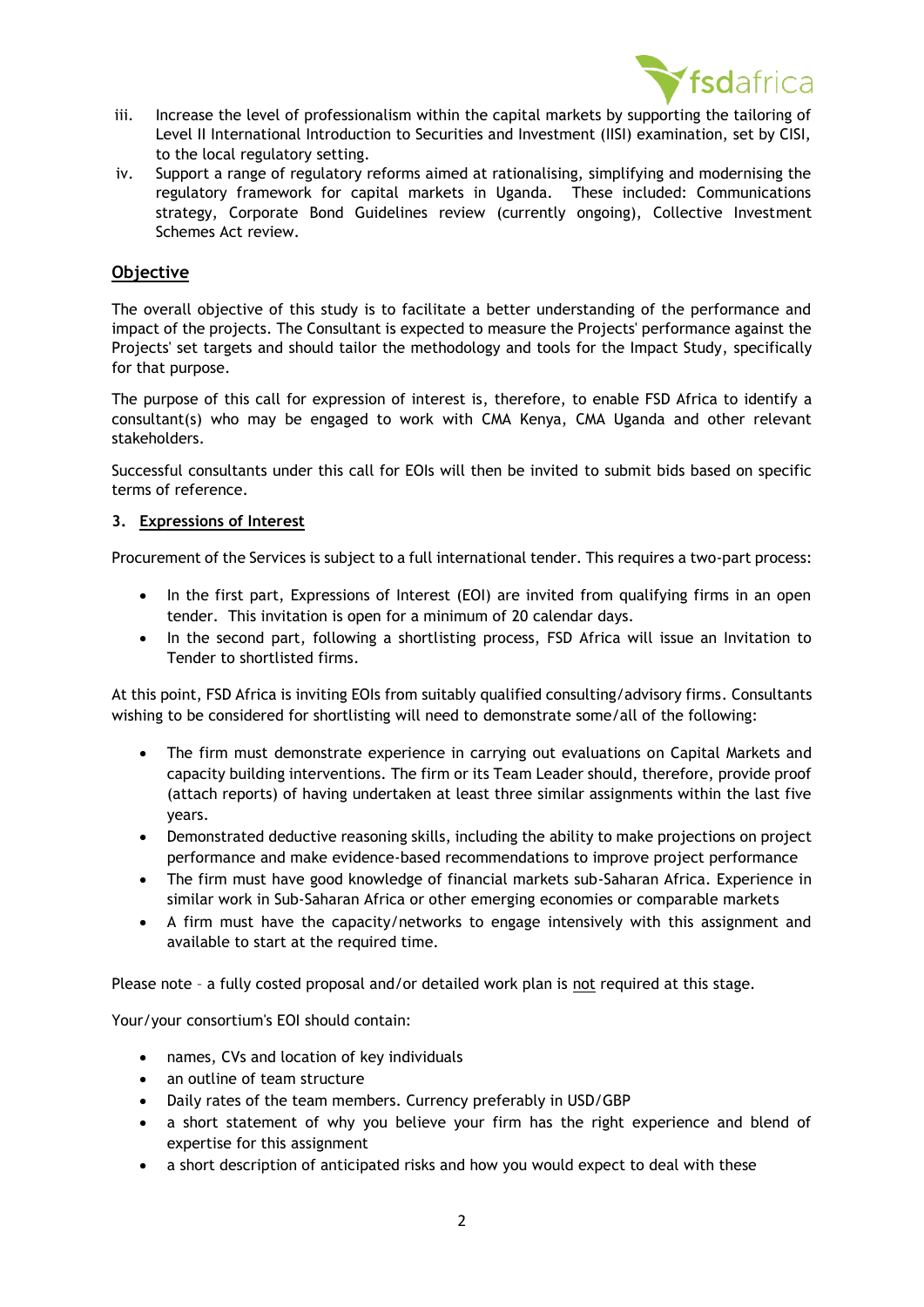

- iii. Increase the level of professionalism within the capital markets by supporting the tailoring of Level II International Introduction to Securities and Investment (IISI) examination, set by CISI, to the local regulatory setting.
- iv. Support a range of regulatory reforms aimed at rationalising, simplifying and modernising the regulatory framework for capital markets in Uganda. These included: Communications strategy, Corporate Bond Guidelines review (currently ongoing), Collective Investment Schemes Act review.

# **Objective**

The overall objective of this study is to facilitate a better understanding of the performance and impact of the projects. The Consultant is expected to measure the Projects' performance against the Projects' set targets and should tailor the methodology and tools for the Impact Study, specifically for that purpose.

The purpose of this call for expression of interest is, therefore, to enable FSD Africa to identify a consultant(s) who may be engaged to work with CMA Kenya, CMA Uganda and other relevant stakeholders.

Successful consultants under this call for EOIs will then be invited to submit bids based on specific terms of reference.

## **3. Expressions of Interest**

Procurement of the Services is subject to a full international tender. This requires a two-part process:

- In the first part, Expressions of Interest (EOI) are invited from qualifying firms in an open tender. This invitation is open for a minimum of 20 calendar days.
- In the second part, following a shortlisting process, FSD Africa will issue an Invitation to Tender to shortlisted firms.

At this point, FSD Africa is inviting EOIs from suitably qualified consulting/advisory firms. Consultants wishing to be considered for shortlisting will need to demonstrate some/all of the following:

- The firm must demonstrate experience in carrying out evaluations on Capital Markets and capacity building interventions. The firm or its Team Leader should, therefore, provide proof (attach reports) of having undertaken at least three similar assignments within the last five years.
- Demonstrated deductive reasoning skills, including the ability to make projections on project performance and make evidence-based recommendations to improve project performance
- The firm must have good knowledge of financial markets sub-Saharan Africa. Experience in similar work in Sub-Saharan Africa or other emerging economies or comparable markets
- A firm must have the capacity/networks to engage intensively with this assignment and available to start at the required time.

Please note – a fully costed proposal and/or detailed work plan is not required at this stage.

Your/your consortium's EOI should contain:

- names, CVs and location of key individuals
- an outline of team structure
- Daily rates of the team members. Currency preferably in USD/GBP
- a short statement of why you believe your firm has the right experience and blend of expertise for this assignment
- a short description of anticipated risks and how you would expect to deal with these